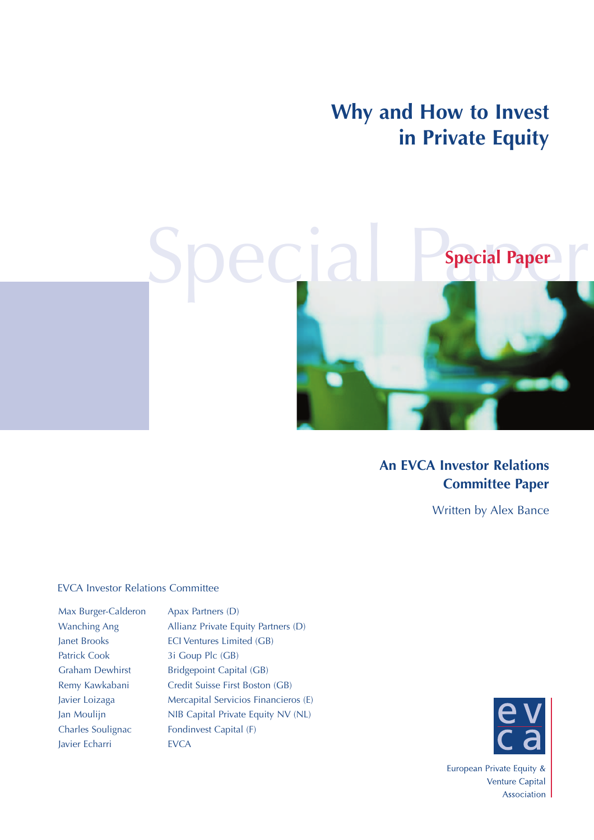**Why and How to Invest in Private Equity**



#### **An EVCA Investor Relations Committee Paper**

Written by Alex Bance

#### EVCA Investor Relations Committee

| Max Burger-Calderon    |
|------------------------|
| <b>Wanching Ang</b>    |
| Janet Brooks           |
| <b>Patrick Cook</b>    |
| <b>Graham Dewhirst</b> |
| Remy Kawkabani         |
| Javier Loizaga         |
| Jan Moulijn            |
| Charles Soulignac      |
| Javier Echarri         |

Apax Partners (D) Allianz Private Equity Partners (D) ECI Ventures Limited (GB) 3i Goup Plc (GB) Bridgepoint Capital (GB) Credit Suisse First Boston (GB) Mercapital Servicios Financieros (E) NIB Capital Private Equity NV (NL) Fondinvest Capital (F) **EVCA** 



European Private Equity & Venture Capital Association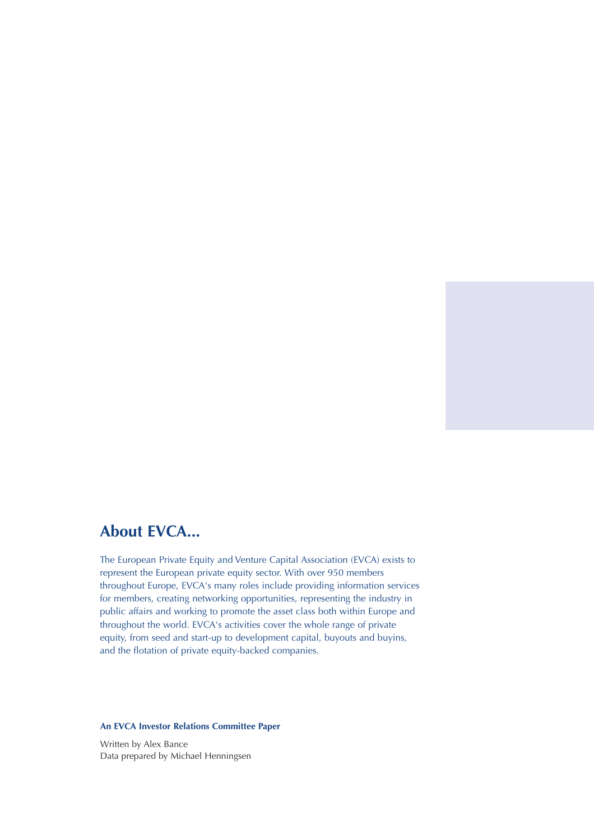#### **About EVCA...**

The European Private Equity and Venture Capital Association (EVCA) exists to represent the European private equity sector. With over 950 members throughout Europe, EVCA's many roles include providing information services for members, creating networking opportunities, representing the industry in public affairs and working to promote the asset class both within Europe and throughout the world. EVCA's activities cover the whole range of private equity, from seed and start-up to development capital, buyouts and buyins, and the flotation of private equity-backed companies.

#### **An EVCA Investor Relations Committee Paper**

Written by Alex Bance Data prepared by Michael Henningsen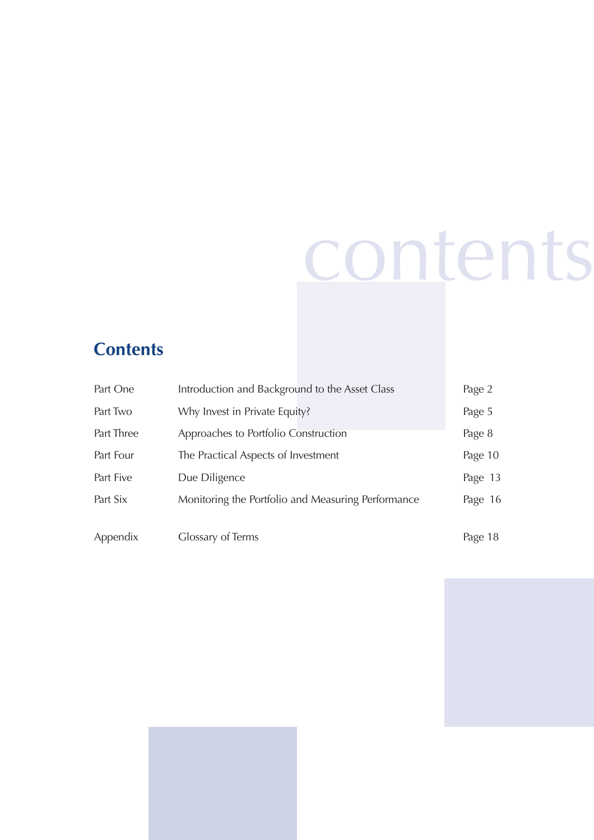## contents

### **Contents**

| Part One   | Introduction and Background to the Asset Class     | Page 2  |
|------------|----------------------------------------------------|---------|
| Part Two   | Why Invest in Private Equity?                      | Page 5  |
| Part Three | Approaches to Portfolio Construction               | Page 8  |
| Part Four  | The Practical Aspects of Investment                | Page 10 |
| Part Five  | Due Diligence                                      | Page 13 |
| Part Six   | Monitoring the Portfolio and Measuring Performance | Page 16 |
|            |                                                    |         |
| Appendix   | Glossary of Terms                                  | Page 18 |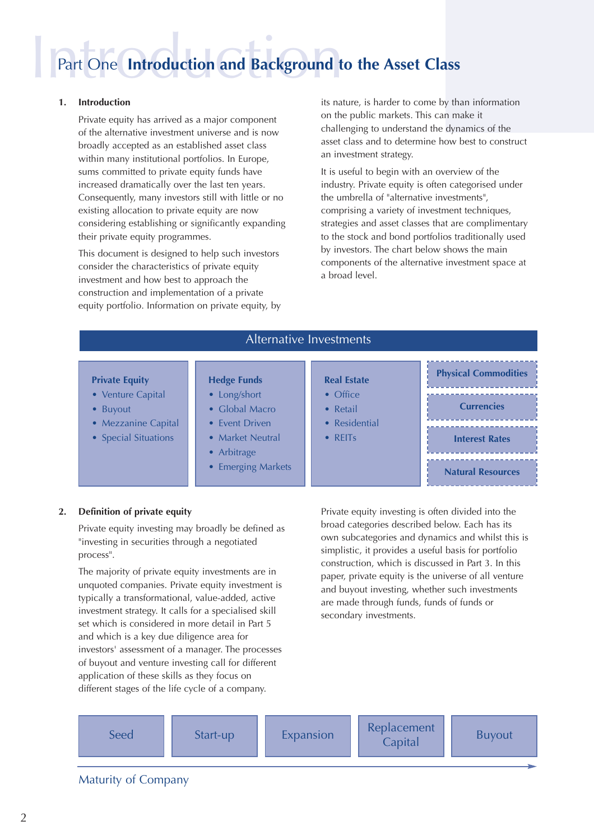### Part One **Introduction and Background to the Asset Class**

#### **1. Introduction**

Private equity has arrived as a major component of the alternative investment universe and is now broadly accepted as an established asset class within many institutional portfolios. In Europe, sums committed to private equity funds have increased dramatically over the last ten years. Consequently, many investors still with little or no existing allocation to private equity are now considering establishing or significantly expanding their private equity programmes.

This document is designed to help such investors consider the characteristics of private equity investment and how best to approach the construction and implementation of a private equity portfolio. Information on private equity, by its nature, is harder to come by than information on the public markets. This can make it challenging to understand the dynamics of the asset class and to determine how best to construct an investment strategy.

It is useful to begin with an overview of the industry. Private equity is often categorised under the umbrella of "alternative investments", comprising a variety of investment techniques, strategies and asset classes that are complimentary to the stock and bond portfolios traditionally used by investors. The chart below shows the main components of the alternative investment space at a broad level.

| Alternative Investments                         |                                                   |                                              |                             |
|-------------------------------------------------|---------------------------------------------------|----------------------------------------------|-----------------------------|
| <b>Private Equity</b>                           | <b>Hedge Funds</b>                                | <b>Real Estate</b>                           | <b>Physical Commodities</b> |
| • Venture Capital<br><b>Buyout</b><br>$\bullet$ | • Long/short<br>$\bullet$ Global Macro            | $\bullet$ Office<br>• Retail                 | <b>Currencies</b>           |
| • Mezzanine Capital<br>• Special Situations     | • Event Driven<br>• Market Neutral<br>• Arbitrage | • Residential<br>$\bullet$ REIT <sub>S</sub> | <b>Interest Rates</b>       |
|                                                 | • Emerging Markets                                |                                              | <b>Natural Resources</b>    |

#### **2. Definition of private equity**

Private equity investing may broadly be defined as "investing in securities through a negotiated process".

The majority of private equity investments are in unquoted companies. Private equity investment is typically a transformational, value-added, active investment strategy. It calls for a specialised skill set which is considered in more detail in Part 5 and which is a key due diligence area for investors' assessment of a manager. The processes of buyout and venture investing call for different application of these skills as they focus on different stages of the life cycle of a company.

Private equity investing is often divided into the broad categories described below. Each has its own subcategories and dynamics and whilst this is simplistic, it provides a useful basis for portfolio construction, which is discussed in Part 3. In this paper, private equity is the universe of all venture and buyout investing, whether such investments are made through funds, funds of funds or secondary investments.



#### Maturity of Company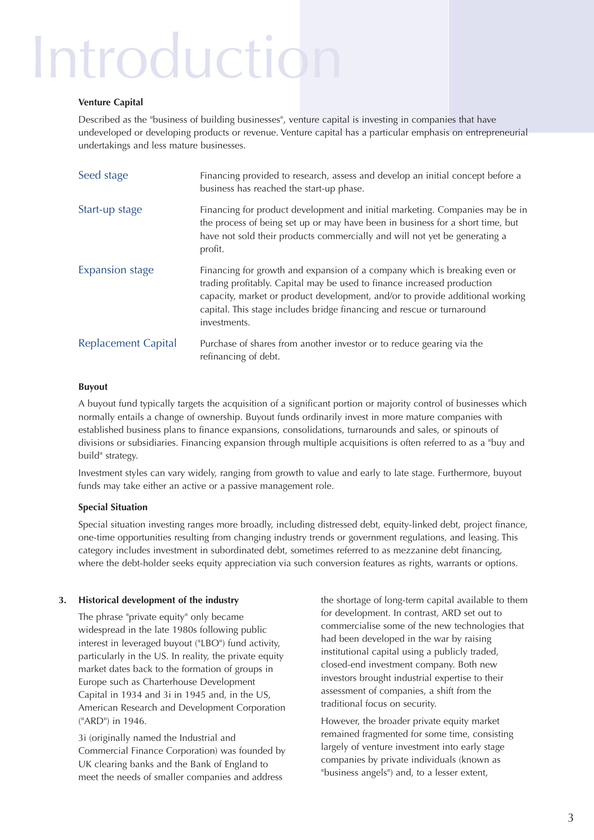### Introduction

#### **Venture Capital**

Described as the "business of building businesses", venture capital is investing in companies that have undeveloped or developing products or revenue. Venture capital has a particular emphasis on entrepreneurial undertakings and less mature businesses.

| Seed stage                 | Financing provided to research, assess and develop an initial concept before a<br>business has reached the start-up phase.                                                                                                                                                                                                      |
|----------------------------|---------------------------------------------------------------------------------------------------------------------------------------------------------------------------------------------------------------------------------------------------------------------------------------------------------------------------------|
| Start-up stage             | Financing for product development and initial marketing. Companies may be in<br>the process of being set up or may have been in business for a short time, but<br>have not sold their products commercially and will not yet be generating a<br>profit.                                                                         |
| <b>Expansion stage</b>     | Financing for growth and expansion of a company which is breaking even or<br>trading profitably. Capital may be used to finance increased production<br>capacity, market or product development, and/or to provide additional working<br>capital. This stage includes bridge financing and rescue or turnaround<br>investments. |
| <b>Replacement Capital</b> | Purchase of shares from another investor or to reduce gearing via the<br>refinancing of debt.                                                                                                                                                                                                                                   |

#### **Buyout**

A buyout fund typically targets the acquisition of a significant portion or majority control of businesses which normally entails a change of ownership. Buyout funds ordinarily invest in more mature companies with established business plans to finance expansions, consolidations, turnarounds and sales, or spinouts of divisions or subsidiaries. Financing expansion through multiple acquisitions is often referred to as a "buy and build" strategy.

Investment styles can vary widely, ranging from growth to value and early to late stage. Furthermore, buyout funds may take either an active or a passive management role.

#### **Special Situation**

Special situation investing ranges more broadly, including distressed debt, equity-linked debt, project finance, one-time opportunities resulting from changing industry trends or government regulations, and leasing. This category includes investment in subordinated debt, sometimes referred to as mezzanine debt financing, where the debt-holder seeks equity appreciation via such conversion features as rights, warrants or options.

#### **3. Historical development of the industry**

The phrase "private equity" only became widespread in the late 1980s following public interest in leveraged buyout ("LBO") fund activity, particularly in the US. In reality, the private equity market dates back to the formation of groups in Europe such as Charterhouse Development Capital in 1934 and 3i in 1945 and, in the US, American Research and Development Corporation ("ARD") in 1946.

3i (originally named the Industrial and Commercial Finance Corporation) was founded by UK clearing banks and the Bank of England to meet the needs of smaller companies and address

the shortage of long-term capital available to them for development. In contrast, ARD set out to commercialise some of the new technologies that had been developed in the war by raising institutional capital using a publicly traded, closed-end investment company. Both new investors brought industrial expertise to their assessment of companies, a shift from the traditional focus on security.

However, the broader private equity market remained fragmented for some time, consisting largely of venture investment into early stage companies by private individuals (known as "business angels") and, to a lesser extent,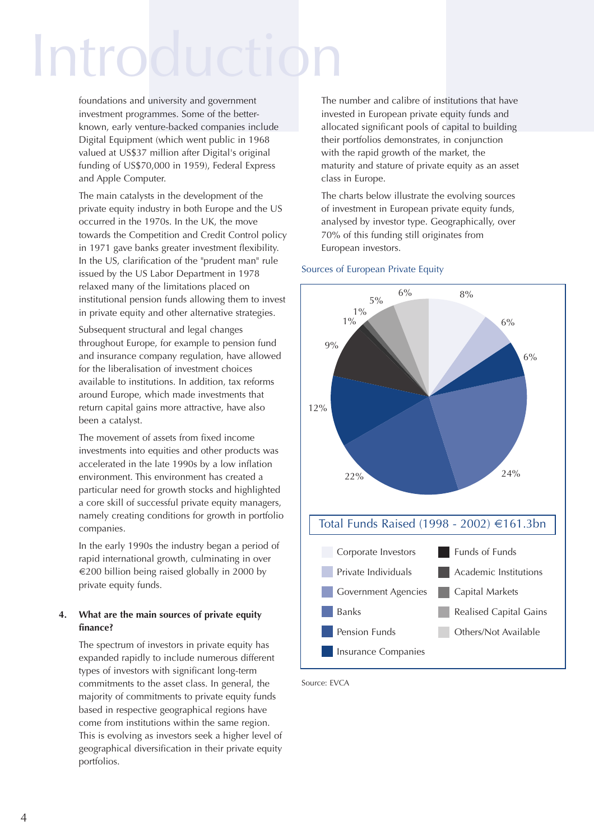### Introductio

foundations and university and government investment programmes. Some of the betterknown, early venture-backed companies include Digital Equipment (which went public in 1968 valued at US\$37 million after Digital's original funding of US\$70,000 in 1959), Federal Express and Apple Computer.

The main catalysts in the development of the private equity industry in both Europe and the US occurred in the 1970s. In the UK, the move towards the Competition and Credit Control policy in 1971 gave banks greater investment flexibility. In the US, clarification of the "prudent man" rule issued by the US Labor Department in 1978 relaxed many of the limitations placed on institutional pension funds allowing them to invest in private equity and other alternative strategies.

Subsequent structural and legal changes throughout Europe, for example to pension fund and insurance company regulation, have allowed for the liberalisation of investment choices available to institutions. In addition, tax reforms around Europe, which made investments that return capital gains more attractive, have also been a catalyst.

The movement of assets from fixed income investments into equities and other products was accelerated in the late 1990s by a low inflation environment. This environment has created a particular need for growth stocks and highlighted a core skill of successful private equity managers, namely creating conditions for growth in portfolio companies.

In the early 1990s the industry began a period of rapid international growth, culminating in over  $\epsilon$ 200 billion being raised globally in 2000 by private equity funds.

#### **4. What are the main sources of private equity finance?**

The spectrum of investors in private equity has expanded rapidly to include numerous different types of investors with significant long-term commitments to the asset class. In general, the majority of commitments to private equity funds based in respective geographical regions have come from institutions within the same region. This is evolving as investors seek a higher level of geographical diversification in their private equity portfolios.

The number and calibre of institutions that have invested in European private equity funds and allocated significant pools of capital to building their portfolios demonstrates, in conjunction with the rapid growth of the market, the maturity and stature of private equity as an asset class in Europe.

The charts below illustrate the evolving sources of investment in European private equity funds, analysed by investor type. Geographically, over 70% of this funding still originates from European investors.



#### Sources of European Private Equity

Source: EVCA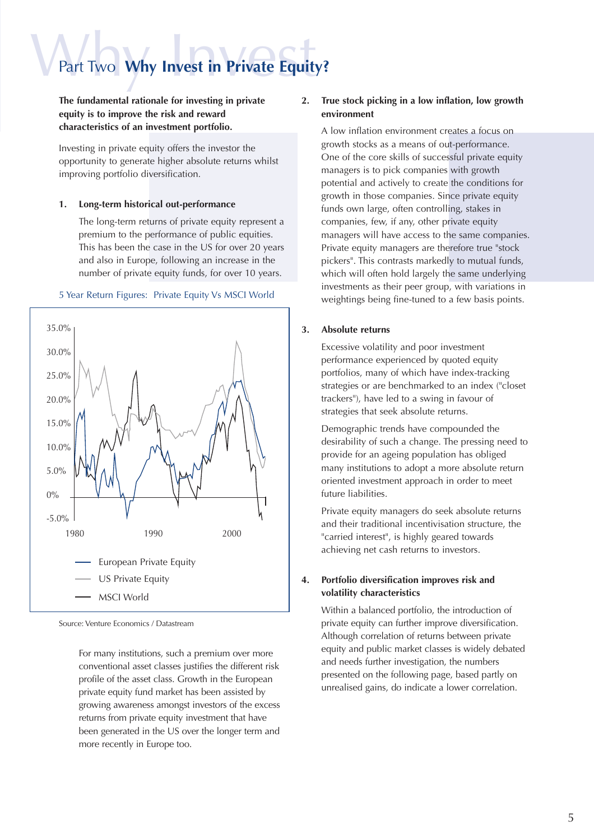### Part Two **Why Invest in Private Equity?**

**The fundamental rationale for investing in private equity is to improve the risk and reward characteristics of an investment portfolio.** 

Investing in private equity offers the investor the opportunity to generate higher absolute returns whilst improving portfolio diversification.

#### **1. Long-term historical out-performance**

The long-term returns of private equity represent a premium to the performance of public equities. This has been the case in the US for over 20 years and also in Europe, following an increase in the number of private equity funds, for over 10 years.

#### 5 Year Return Figures: Private Equity Vs MSCI World



Source: Venture Economics / Datastream

For many institutions, such a premium over more conventional asset classes justifies the different risk profile of the asset class. Growth in the European private equity fund market has been assisted by growing awareness amongst investors of the excess returns from private equity investment that have been generated in the US over the longer term and more recently in Europe too.

#### **2. True stock picking in a low inflation, low growth environment**

A low inflation environment creates a focus on growth stocks as a means of out-performance. One of the core skills of successful private equity managers is to pick companies with growth potential and actively to create the conditions for growth in those companies. Since private equity funds own large, often controlling, stakes in companies, few, if any, other private equity managers will have access to the same companies. Private equity managers are therefore true "stock pickers". This contrasts markedly to mutual funds, which will often hold largely the same underlying investments as their peer group, with variations in weightings being fine-tuned to a few basis points.

#### **3. Absolute returns**

Excessive volatility and poor investment performance experienced by quoted equity portfolios, many of which have index-tracking strategies or are benchmarked to an index ("closet trackers"), have led to a swing in favour of strategies that seek absolute returns.

Demographic trends have compounded the desirability of such a change. The pressing need to provide for an ageing population has obliged many institutions to adopt a more absolute return oriented investment approach in order to meet future liabilities.

Private equity managers do seek absolute returns and their traditional incentivisation structure, the "carried interest", is highly geared towards achieving net cash returns to investors.

#### **4. Portfolio diversification improves risk and volatility characteristics**

Within a balanced portfolio, the introduction of private equity can further improve diversification. Although correlation of returns between private equity and public market classes is widely debated and needs further investigation, the numbers presented on the following page, based partly on unrealised gains, do indicate a lower correlation.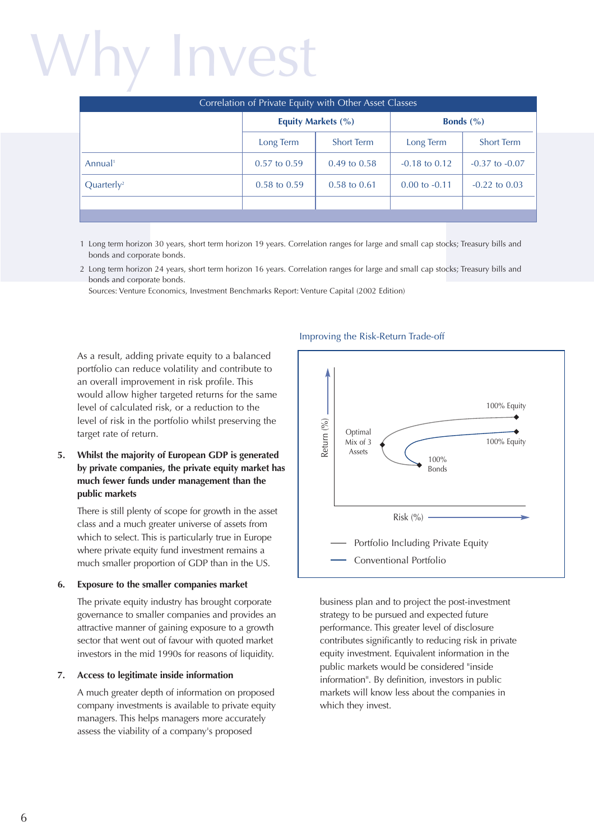## Why Invest

| Correlation of Private Equity with Other Asset Classes |                         |                         |                   |                      |
|--------------------------------------------------------|-------------------------|-------------------------|-------------------|----------------------|
|                                                        | Equity Markets (%)      |                         |                   | <b>Bonds</b> $(\% )$ |
|                                                        | Long Term               | <b>Short Term</b>       | Long Term         | <b>Short Term</b>    |
| Annual <sup>1</sup>                                    | $0.57$ to $0.59$        | $0.49 \text{ to } 0.58$ | $-0.18$ to $0.12$ | $-0.37$ to $-0.07$   |
| Quarter <sub>l</sub> y <sup>2</sup>                    | $0.58 \text{ to } 0.59$ | $0.58 \text{ to } 0.61$ | $0.00$ to $-0.11$ | $-0.22$ to $0.03$    |
|                                                        |                         |                         |                   |                      |
|                                                        |                         |                         |                   |                      |

- 1 Long term horizon 30 years, short term horizon 19 years. Correlation ranges for large and small cap stocks; Treasury bills and bonds and corporate bonds.
- 2 Long term horizon 24 years, short term horizon 16 years. Correlation ranges for large and small cap stocks; Treasury bills and bonds and corporate bonds.

Sources: Venture Economics, Investment Benchmarks Report: Venture Capital (2002 Edition)

As a result, adding private equity to a balanced portfolio can reduce volatility and contribute to an overall improvement in risk profile. This would allow higher targeted returns for the same level of calculated risk, or a reduction to the level of risk in the portfolio whilst preserving the target rate of return.

#### **5. Whilst the majority of European GDP is generated by private companies, the private equity market has much fewer funds under management than the public markets**

There is still plenty of scope for growth in the asset class and a much greater universe of assets from which to select. This is particularly true in Europe where private equity fund investment remains a much smaller proportion of GDP than in the US.

#### **6. Exposure to the smaller companies market**

The private equity industry has brought corporate governance to smaller companies and provides an attractive manner of gaining exposure to a growth sector that went out of favour with quoted market investors in the mid 1990s for reasons of liquidity.

#### **7. Access to legitimate inside information**

A much greater depth of information on proposed company investments is available to private equity managers. This helps managers more accurately assess the viability of a company's proposed

#### Improving the Risk-Return Trade-off



business plan and to project the post-investment strategy to be pursued and expected future performance. This greater level of disclosure contributes significantly to reducing risk in private equity investment. Equivalent information in the public markets would be considered "inside information". By definition, investors in public markets will know less about the companies in which they invest.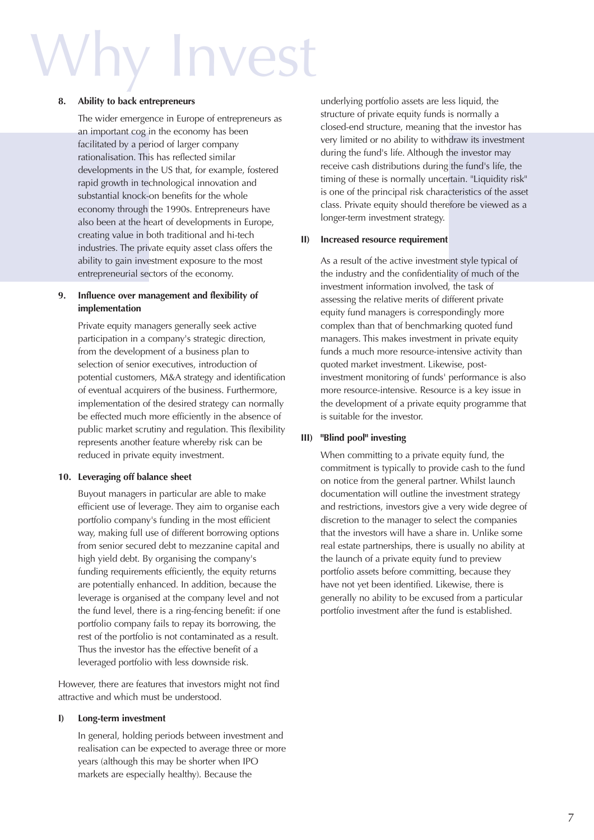## **Invest**

#### **8. Ability to back entrepreneurs**

The wider emergence in Europe of entrepreneurs as an important cog in the economy has been facilitated by a period of larger company rationalisation. This has reflected similar developments in the US that, for example, fostered rapid growth in technological innovation and substantial knock-on benefits for the whole economy through the 1990s. Entrepreneurs have also been at the heart of developments in Europe, creating value in both traditional and hi-tech industries. The private equity asset class offers the ability to gain investment exposure to the most entrepreneurial sectors of the economy.

#### **9. Influence over management and flexibility of implementation**

Private equity managers generally seek active participation in a company's strategic direction, from the development of a business plan to selection of senior executives, introduction of potential customers, M&A strategy and identification of eventual acquirers of the business. Furthermore, implementation of the desired strategy can normally be effected much more efficiently in the absence of public market scrutiny and regulation. This flexibility represents another feature whereby risk can be reduced in private equity investment.

#### **10. Leveraging off balance sheet**

Buyout managers in particular are able to make efficient use of leverage. They aim to organise each portfolio company's funding in the most efficient way, making full use of different borrowing options from senior secured debt to mezzanine capital and high yield debt. By organising the company's funding requirements efficiently, the equity returns are potentially enhanced. In addition, because the leverage is organised at the company level and not the fund level, there is a ring-fencing benefit: if one portfolio company fails to repay its borrowing, the rest of the portfolio is not contaminated as a result. Thus the investor has the effective benefit of a leveraged portfolio with less downside risk.

However, there are features that investors might not find attractive and which must be understood.

#### **I) Long-term investment**

In general, holding periods between investment and realisation can be expected to average three or more years (although this may be shorter when IPO markets are especially healthy). Because the

underlying portfolio assets are less liquid, the structure of private equity funds is normally a closed-end structure, meaning that the investor has very limited or no ability to withdraw its investment during the fund's life. Although the investor may receive cash distributions during the fund's life, the timing of these is normally uncertain. "Liquidity risk" is one of the principal risk characteristics of the asset class. Private equity should therefore be viewed as a longer-term investment strategy.

#### **II) Increased resource requirement**

As a result of the active investment style typical of the industry and the confidentiality of much of the investment information involved, the task of assessing the relative merits of different private equity fund managers is correspondingly more complex than that of benchmarking quoted fund managers. This makes investment in private equity funds a much more resource-intensive activity than quoted market investment. Likewise, postinvestment monitoring of funds' performance is also more resource-intensive. Resource is a key issue in the development of a private equity programme that is suitable for the investor.

#### **III) "Blind pool" investing**

When committing to a private equity fund, the commitment is typically to provide cash to the fund on notice from the general partner. Whilst launch documentation will outline the investment strategy and restrictions, investors give a very wide degree of discretion to the manager to select the companies that the investors will have a share in. Unlike some real estate partnerships, there is usually no ability at the launch of a private equity fund to preview portfolio assets before committing, because they have not yet been identified. Likewise, there is generally no ability to be excused from a particular portfolio investment after the fund is established.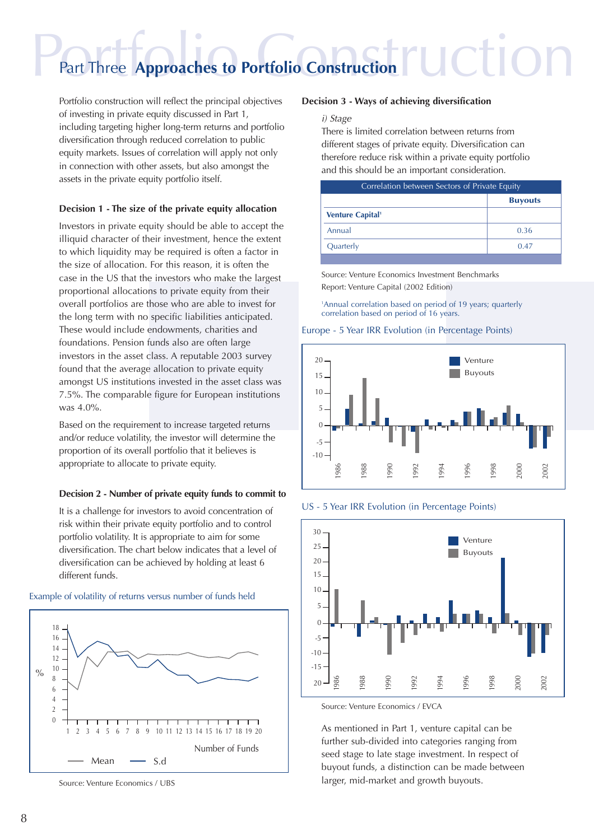### Part Three Approaches to Portfolio Construction | UCTION Part Three **Approaches to Portfolio Construction**

Portfolio construction will reflect the principal objectives of investing in private equity discussed in Part 1, including targeting higher long-term returns and portfolio diversification through reduced correlation to public equity markets. Issues of correlation will apply not only in connection with other assets, but also amongst the assets in the private equity portfolio itself.

#### **Decision 1 - The size of the private equity allocation**

Investors in private equity should be able to accept the illiquid character of their investment, hence the extent to which liquidity may be required is often a factor in the size of allocation. For this reason, it is often the case in the US that the investors who make the largest proportional allocations to private equity from their overall portfolios are those who are able to invest for the long term with no specific liabilities anticipated. These would include endowments, charities and foundations. Pension funds also are often large investors in the asset class. A reputable 2003 survey found that the average allocation to private equity amongst US institutions invested in the asset class was 7.5%. The comparable figure for European institutions was 4.0%.

Based on the requirement to increase targeted returns and/or reduce volatility, the investor will determine the proportion of its overall portfolio that it believes is appropriate to allocate to private equity.

#### **Decision 2 - Number of private equity funds to commit to**

It is a challenge for investors to avoid concentration of risk within their private equity portfolio and to control portfolio volatility. It is appropriate to aim for some diversification. The chart below indicates that a level of diversification can be achieved by holding at least 6 different funds.



#### Example of volatility of returns versus number of funds held

#### **Decision 3 - Ways of achieving diversification**

#### i) Stage

There is limited correlation between returns from different stages of private equity. Diversification can therefore reduce risk within a private equity portfolio and this should be an important consideration.

| Correlation between Sectors of Private Equity |                |
|-----------------------------------------------|----------------|
|                                               | <b>Buyouts</b> |
| <b>Venture Capital<sup>1</sup></b>            |                |
| Annual                                        | 0.36           |
| Quarterly                                     | 0.47           |
|                                               |                |

Source: Venture Economics Investment Benchmarks Report: Venture Capital (2002 Edition)

1 Annual correlation based on period of 19 years; quarterly correlation based on period of 16 years.

#### Europe - 5 Year IRR Evolution (in Percentage Points)



US - 5 Year IRR Evolution (in Percentage Points)



Source: Venture Economics / EVCA

As mentioned in Part 1, venture capital can be further sub-divided into categories ranging from seed stage to late stage investment. In respect of buyout funds, a distinction can be made between larger, mid-market and growth buyouts.

Source: Venture Economics / UBS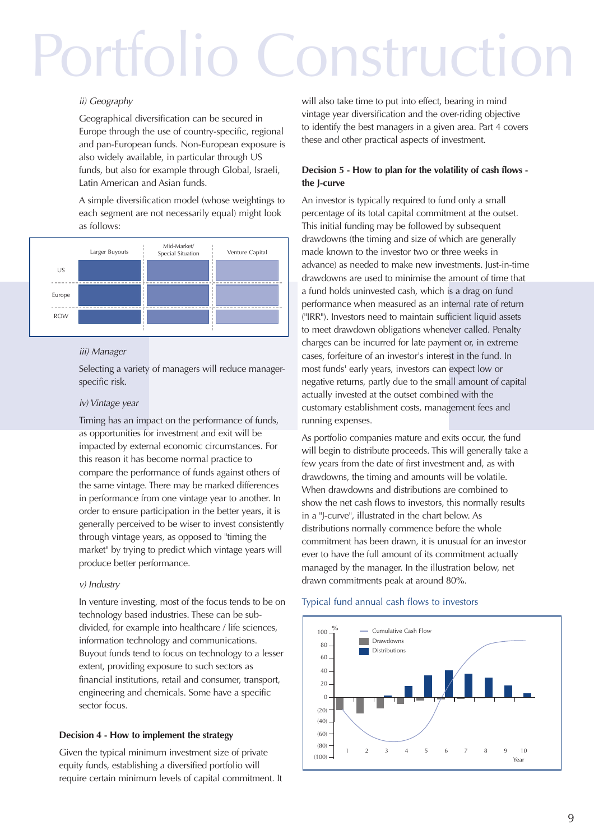## Portfolio Construction

#### ii) Geography

Geographical diversification can be secured in Europe through the use of country-specific, regional and pan-European funds. Non-European exposure is also widely available, in particular through US funds, but also for example through Global, Israeli, Latin American and Asian funds.

A simple diversification model (whose weightings to each segment are not necessarily equal) might look as follows:



#### iii) Manager

Selecting a variety of managers will reduce managerspecific risk.

#### iv) Vintage year

Timing has an impact on the performance of funds, as opportunities for investment and exit will be impacted by external economic circumstances. For this reason it has become normal practice to compare the performance of funds against others of the same vintage. There may be marked differences in performance from one vintage year to another. In order to ensure participation in the better years, it is generally perceived to be wiser to invest consistently through vintage years, as opposed to "timing the market" by trying to predict which vintage years will produce better performance.

#### v) Industry

In venture investing, most of the focus tends to be on technology based industries. These can be subdivided, for example into healthcare / life sciences, information technology and communications. Buyout funds tend to focus on technology to a lesser extent, providing exposure to such sectors as financial institutions, retail and consumer, transport, engineering and chemicals. Some have a specific sector focus.

#### **Decision 4 - How to implement the strategy**

Given the typical minimum investment size of private equity funds, establishing a diversified portfolio will require certain minimum levels of capital commitment. It will also take time to put into effect, bearing in mind vintage year diversification and the over-riding objective to identify the best managers in a given area. Part 4 covers these and other practical aspects of investment.

#### **Decision 5 - How to plan for the volatility of cash flows the J-curve**

An investor is typically required to fund only a small percentage of its total capital commitment at the outset. This initial funding may be followed by subsequent drawdowns (the timing and size of which are generally made known to the investor two or three weeks in advance) as needed to make new investments. Just-in-time drawdowns are used to minimise the amount of time that a fund holds uninvested cash, which is a drag on fund performance when measured as an internal rate of return ("IRR"). Investors need to maintain sufficient liquid assets to meet drawdown obligations whenever called. Penalty charges can be incurred for late payment or, in extreme cases, forfeiture of an investor's interest in the fund. In most funds' early years, investors can expect low or negative returns, partly due to the small amount of capital actually invested at the outset combined with the customary establishment costs, management fees and running expenses.

As portfolio companies mature and exits occur, the fund will begin to distribute proceeds. This will generally take a few years from the date of first investment and, as with drawdowns, the timing and amounts will be volatile. When drawdowns and distributions are combined to show the net cash flows to investors, this normally results in a "J-curve", illustrated in the chart below. As distributions normally commence before the whole commitment has been drawn, it is unusual for an investor ever to have the full amount of its commitment actually managed by the manager. In the illustration below, net drawn commitments peak at around 80%.

#### Typical fund annual cash flows to investors

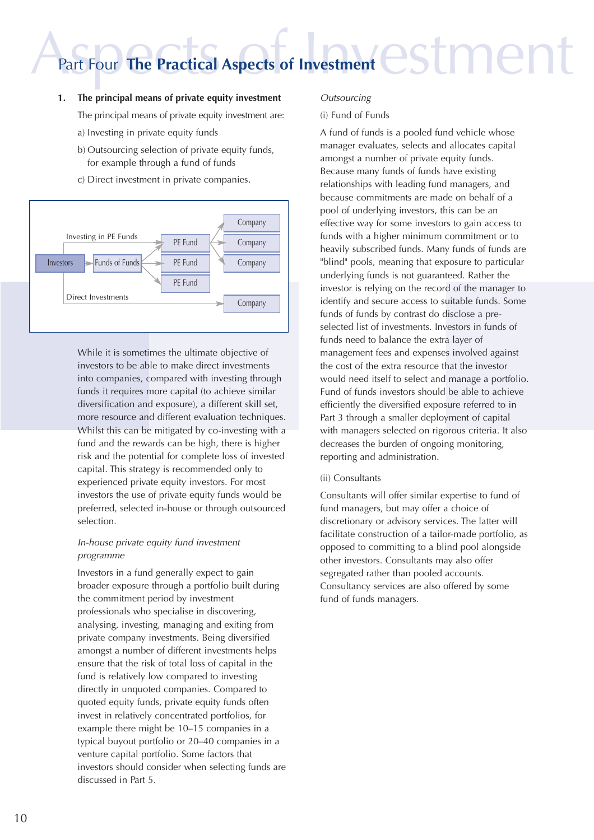### Part Four The Practical Aspects of Investment CSLMCNT Part Four **The Practical Aspects of Investment**

- **1. The principal means of private equity investment** The principal means of private equity investment are:
	- a) Investing in private equity funds
	- b) Outsourcing selection of private equity funds, for example through a fund of funds
	- c) Direct investment in private companies.



While it is sometimes the ultimate objective of investors to be able to make direct investments into companies, compared with investing through funds it requires more capital (to achieve similar diversification and exposure), a different skill set, more resource and different evaluation techniques. Whilst this can be mitigated by co-investing with a fund and the rewards can be high, there is higher risk and the potential for complete loss of invested capital. This strategy is recommended only to experienced private equity investors. For most investors the use of private equity funds would be preferred, selected in-house or through outsourced selection.

#### In-house private equity fund investment programme

Investors in a fund generally expect to gain broader exposure through a portfolio built during the commitment period by investment professionals who specialise in discovering, analysing, investing, managing and exiting from private company investments. Being diversified amongst a number of different investments helps ensure that the risk of total loss of capital in the fund is relatively low compared to investing directly in unquoted companies. Compared to quoted equity funds, private equity funds often invest in relatively concentrated portfolios, for example there might be 10–15 companies in a typical buyout portfolio or 20–40 companies in a venture capital portfolio. Some factors that investors should consider when selecting funds are discussed in Part 5.

#### **Outsourcing**

#### (i) Fund of Funds

A fund of funds is a pooled fund vehicle whose manager evaluates, selects and allocates capital amongst a number of private equity funds. Because many funds of funds have existing relationships with leading fund managers, and because commitments are made on behalf of a pool of underlying investors, this can be an effective way for some investors to gain access to funds with a higher minimum commitment or to heavily subscribed funds. Many funds of funds are "blind" pools, meaning that exposure to particular underlying funds is not guaranteed. Rather the investor is relying on the record of the manager to identify and secure access to suitable funds. Some funds of funds by contrast do disclose a preselected list of investments. Investors in funds of funds need to balance the extra layer of management fees and expenses involved against the cost of the extra resource that the investor would need itself to select and manage a portfolio. Fund of funds investors should be able to achieve efficiently the diversified exposure referred to in Part 3 through a smaller deployment of capital with managers selected on rigorous criteria. It also decreases the burden of ongoing monitoring, reporting and administration.

#### (ii) Consultants

Consultants will offer similar expertise to fund of fund managers, but may offer a choice of discretionary or advisory services. The latter will facilitate construction of a tailor-made portfolio, as opposed to committing to a blind pool alongside other investors. Consultants may also offer segregated rather than pooled accounts. Consultancy services are also offered by some fund of funds managers.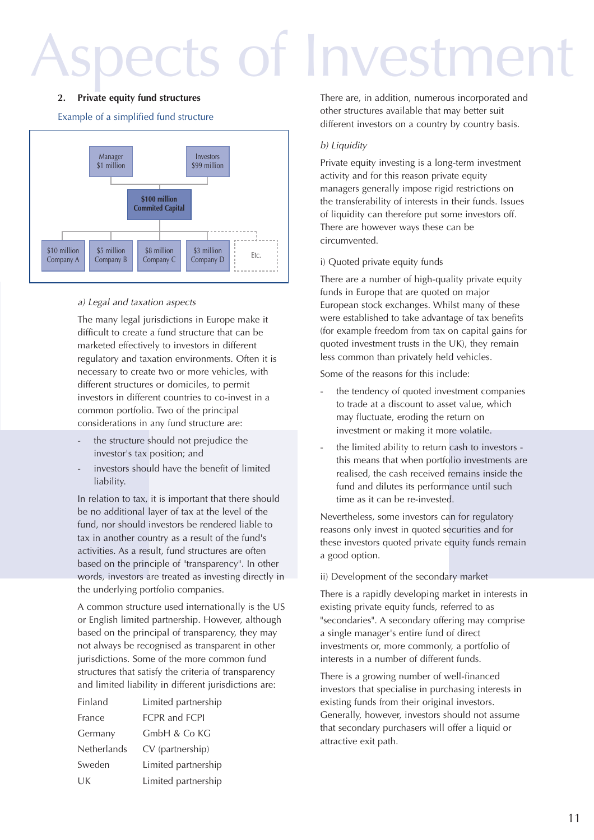### s of Investment

#### **2. Private equity fund structures**

Example of a simplified fund structure



#### a) Legal and taxation aspects

The many legal jurisdictions in Europe make it difficult to create a fund structure that can be marketed effectively to investors in different regulatory and taxation environments. Often it is necessary to create two or more vehicles, with different structures or domiciles, to permit investors in different countries to co-invest in a common portfolio. Two of the principal considerations in any fund structure are:

- the structure should not prejudice the investor's tax position; and
- investors should have the benefit of limited liability.

In relation to tax, it is important that there should be no additional layer of tax at the level of the fund, nor should investors be rendered liable to tax in another country as a result of the fund's activities. As a result, fund structures are often based on the principle of "transparency". In other words, investors are treated as investing directly in the underlying portfolio companies.

A common structure used internationally is the US or English limited partnership. However, although based on the principal of transparency, they may not always be recognised as transparent in other jurisdictions. Some of the more common fund structures that satisfy the criteria of transparency and limited liability in different jurisdictions are:

| Finland     | Limited partnership         |
|-------------|-----------------------------|
| France      | <b>FCPR</b> and <b>FCPI</b> |
| Germany     | GmbH & Co KG                |
| Netherlands | CV (partnership)            |
| Sweden      | Limited partnership         |
| UK          | Limited partnership         |
|             |                             |

There are, in addition, numerous incorporated and other structures available that may better suit different investors on a country by country basis.

#### b) Liquidity

Private equity investing is a long-term investment activity and for this reason private equity managers generally impose rigid restrictions on the transferability of interests in their funds. Issues of liquidity can therefore put some investors off. There are however ways these can be circumvented.

#### i) Quoted private equity funds

There are a number of high-quality private equity funds in Europe that are quoted on major European stock exchanges. Whilst many of these were established to take advantage of tax benefits (for example freedom from tax on capital gains for quoted investment trusts in the UK), they remain less common than privately held vehicles.

Some of the reasons for this include:

- the tendency of quoted investment companies to trade at a discount to asset value, which may fluctuate, eroding the return on investment or making it more volatile.
- the limited ability to return cash to investors this means that when portfolio investments are realised, the cash received remains inside the fund and dilutes its performance until such time as it can be re-invested.

Nevertheless, some investors can for regulatory reasons only invest in quoted securities and for these investors quoted private equity funds remain a good option.

#### ii) Development of the secondary market

There is a rapidly developing market in interests in existing private equity funds, referred to as "secondaries". A secondary offering may comprise a single manager's entire fund of direct investments or, more commonly, a portfolio of interests in a number of different funds.

There is a growing number of well-financed investors that specialise in purchasing interests in existing funds from their original investors. Generally, however, investors should not assume that secondary purchasers will offer a liquid or attractive exit path.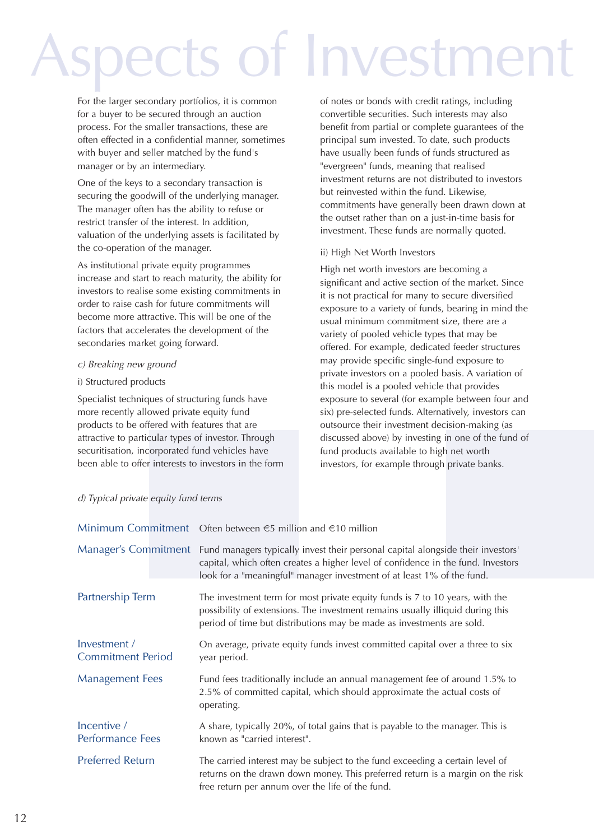### of Investmer

For the larger secondary portfolios, it is common for a buyer to be secured through an auction process. For the smaller transactions, these are often effected in a confidential manner, sometimes with buyer and seller matched by the fund's manager or by an intermediary.

One of the keys to a secondary transaction is securing the goodwill of the underlying manager. The manager often has the ability to refuse or restrict transfer of the interest. In addition, valuation of the underlying assets is facilitated by the co-operation of the manager.

As institutional private equity programmes increase and start to reach maturity, the ability for investors to realise some existing commitments in order to raise cash for future commitments will become more attractive. This will be one of the factors that accelerates the development of the secondaries market going forward.

#### c) Breaking new ground

#### i) Structured products

Specialist techniques of structuring funds have more recently allowed private equity fund products to be offered with features that are attractive to particular types of investor. Through securitisation, incorporated fund vehicles have been able to offer interests to investors in the form of notes or bonds with credit ratings, including convertible securities. Such interests may also benefit from partial or complete guarantees of the principal sum invested. To date, such products have usually been funds of funds structured as "evergreen" funds, meaning that realised investment returns are not distributed to investors but reinvested within the fund. Likewise, commitments have generally been drawn down at the outset rather than on a just-in-time basis for investment. These funds are normally quoted.

#### ii) High Net Worth Investors

High net worth investors are becoming a significant and active section of the market. Since it is not practical for many to secure diversified exposure to a variety of funds, bearing in mind the usual minimum commitment size, there are a variety of pooled vehicle types that may be offered. For example, dedicated feeder structures may provide specific single-fund exposure to private investors on a pooled basis. A variation of this model is a pooled vehicle that provides exposure to several (for example between four and six) pre-selected funds. Alternatively, investors can outsource their investment decision-making (as discussed above) by investing in one of the fund of fund products available to high net worth investors, for example through private banks.

| d) Typical private equity fund terms |  |  |
|--------------------------------------|--|--|
|--------------------------------------|--|--|

|                                          | Minimum Commitment Often between $\epsilon$ 5 million and $\epsilon$ 10 million                                                                                                                                                                                     |  |
|------------------------------------------|---------------------------------------------------------------------------------------------------------------------------------------------------------------------------------------------------------------------------------------------------------------------|--|
|                                          | Manager's Commitment Fund managers typically invest their personal capital alongside their investors'<br>capital, which often creates a higher level of confidence in the fund. Investors<br>look for a "meaningful" manager investment of at least 1% of the fund. |  |
| Partnership Term                         | The investment term for most private equity funds is 7 to 10 years, with the<br>possibility of extensions. The investment remains usually illiquid during this<br>period of time but distributions may be made as investments are sold.                             |  |
| Investment /<br><b>Commitment Period</b> | On average, private equity funds invest committed capital over a three to six<br>year period.                                                                                                                                                                       |  |
| <b>Management Fees</b>                   | Fund fees traditionally include an annual management fee of around 1.5% to<br>2.5% of committed capital, which should approximate the actual costs of<br>operating.                                                                                                 |  |
| Incentive /<br><b>Performance Fees</b>   | A share, typically 20%, of total gains that is payable to the manager. This is<br>known as "carried interest".                                                                                                                                                      |  |
| <b>Preferred Return</b>                  | The carried interest may be subject to the fund exceeding a certain level of<br>returns on the drawn down money. This preferred return is a margin on the risk<br>free return per annum over the life of the fund.                                                  |  |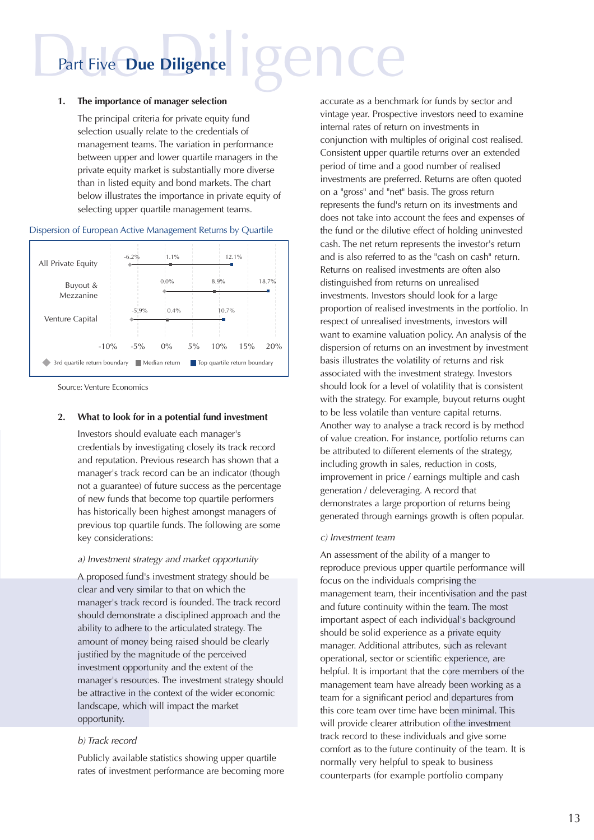## Part Five **Due Diligence**

#### **1. The importance of manager selection**

The principal criteria for private equity fund selection usually relate to the credentials of management teams. The variation in performance between upper and lower quartile managers in the private equity market is substantially more diverse than in listed equity and bond markets. The chart below illustrates the importance in private equity of selecting upper quartile management teams.

#### Dispersion of European Active Management Returns by Quartile



Source: Venture Economics

#### **2. What to look for in a potential fund investment**

Investors should evaluate each manager's credentials by investigating closely its track record and reputation. Previous research has shown that a manager's track record can be an indicator (though not a guarantee) of future success as the percentage of new funds that become top quartile performers has historically been highest amongst managers of previous top quartile funds. The following are some key considerations:

#### a) Investment strategy and market opportunity

A proposed fund's investment strategy should be clear and very similar to that on which the manager's track record is founded. The track record should demonstrate a disciplined approach and the ability to adhere to the articulated strategy. The amount of money being raised should be clearly justified by the magnitude of the perceived investment opportunity and the extent of the manager's resources. The investment strategy should be attractive in the context of the wider economic landscape, which will impact the market opportunity.

#### b) Track record

Publicly available statistics showing upper quartile rates of investment performance are becoming more accurate as a benchmark for funds by sector and vintage year. Prospective investors need to examine internal rates of return on investments in conjunction with multiples of original cost realised. Consistent upper quartile returns over an extended period of time and a good number of realised investments are preferred. Returns are often quoted on a "gross" and "net" basis. The gross return represents the fund's return on its investments and does not take into account the fees and expenses of the fund or the dilutive effect of holding uninvested cash. The net return represents the investor's return and is also referred to as the "cash on cash" return. Returns on realised investments are often also distinguished from returns on unrealised investments. Investors should look for a large proportion of realised investments in the portfolio. In respect of unrealised investments, investors will want to examine valuation policy. An analysis of the dispersion of returns on an investment by investment basis illustrates the volatility of returns and risk associated with the investment strategy. Investors should look for a level of volatility that is consistent with the strategy. For example, buyout returns ought to be less volatile than venture capital returns. Another way to analyse a track record is by method of value creation. For instance, portfolio returns can be attributed to different elements of the strategy, including growth in sales, reduction in costs, improvement in price / earnings multiple and cash generation / deleveraging. A record that demonstrates a large proportion of returns being generated through earnings growth is often popular.

#### c) Investment team

An assessment of the ability of a manger to reproduce previous upper quartile performance will focus on the individuals comprising the management team, their incentivisation and the past and future continuity within the team. The most important aspect of each individual's background should be solid experience as a private equity manager. Additional attributes, such as relevant operational, sector or scientific experience, are helpful. It is important that the core members of the management team have already been working as a team for a significant period and departures from this core team over time have been minimal. This will provide clearer attribution of the investment track record to these individuals and give some comfort as to the future continuity of the team. It is normally very helpful to speak to business counterparts (for example portfolio company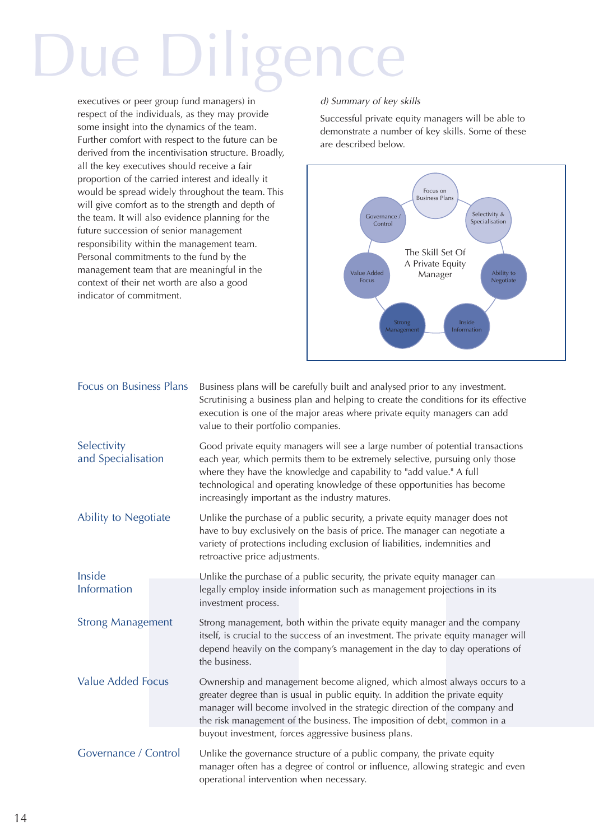## e Diligence

executives or peer group fund managers) in respect of the individuals, as they may provide some insight into the dynamics of the team. Further comfort with respect to the future can be derived from the incentivisation structure. Broadly, all the key executives should receive a fair proportion of the carried interest and ideally it would be spread widely throughout the team. This will give comfort as to the strength and depth of the team. It will also evidence planning for the future succession of senior management responsibility within the management team. Personal commitments to the fund by the management team that are meaningful in the context of their net worth are also a good indicator of commitment.

#### d) Summary of key skills

Successful private equity managers will be able to demonstrate a number of key skills. Some of these are described below.



| <b>Focus on Business Plans</b>    | Business plans will be carefully built and analysed prior to any investment.<br>Scrutinising a business plan and helping to create the conditions for its effective<br>execution is one of the major areas where private equity managers can add<br>value to their portfolio companies.                                                                                     |  |
|-----------------------------------|-----------------------------------------------------------------------------------------------------------------------------------------------------------------------------------------------------------------------------------------------------------------------------------------------------------------------------------------------------------------------------|--|
| Selectivity<br>and Specialisation | Good private equity managers will see a large number of potential transactions<br>each year, which permits them to be extremely selective, pursuing only those<br>where they have the knowledge and capability to "add value." A full<br>technological and operating knowledge of these opportunities has become<br>increasingly important as the industry matures.         |  |
| Ability to Negotiate              | Unlike the purchase of a public security, a private equity manager does not<br>have to buy exclusively on the basis of price. The manager can negotiate a<br>variety of protections including exclusion of liabilities, indemnities and<br>retroactive price adjustments.                                                                                                   |  |
| Inside<br>Information             | Unlike the purchase of a public security, the private equity manager can<br>legally employ inside information such as management projections in its<br>investment process.                                                                                                                                                                                                  |  |
| <b>Strong Management</b>          | Strong management, both within the private equity manager and the company<br>itself, is crucial to the success of an investment. The private equity manager will<br>depend heavily on the company's management in the day to day operations of<br>the business.                                                                                                             |  |
| <b>Value Added Focus</b>          | Ownership and management become aligned, which almost always occurs to a<br>greater degree than is usual in public equity. In addition the private equity<br>manager will become involved in the strategic direction of the company and<br>the risk management of the business. The imposition of debt, common in a<br>buyout investment, forces aggressive business plans. |  |
| Governance / Control              | Unlike the governance structure of a public company, the private equity<br>manager often has a degree of control or influence, allowing strategic and even<br>operational intervention when necessary.                                                                                                                                                                      |  |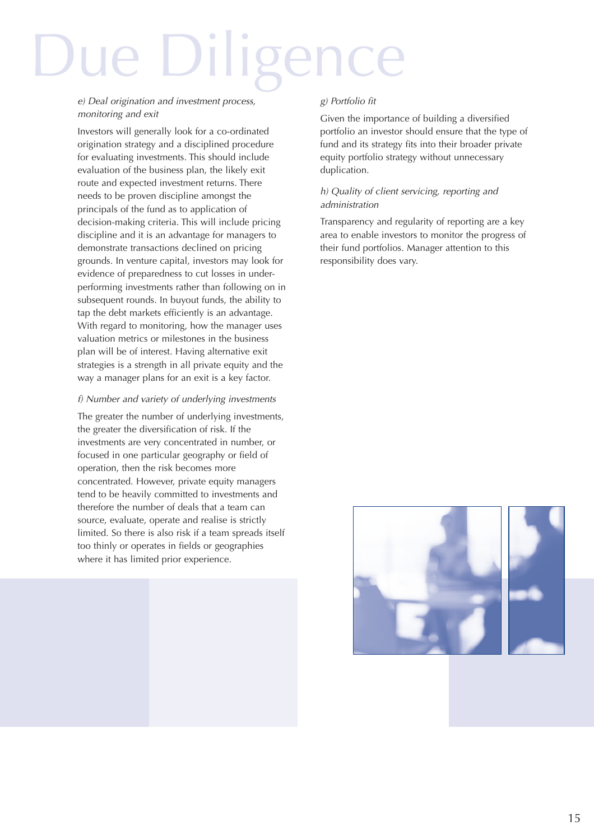## Due Diligence

#### e) Deal origination and investment process, monitoring and exit

Investors will generally look for a co-ordinated origination strategy and a disciplined procedure for evaluating investments. This should include evaluation of the business plan, the likely exit route and expected investment returns. There needs to be proven discipline amongst the principals of the fund as to application of decision-making criteria. This will include pricing discipline and it is an advantage for managers to demonstrate transactions declined on pricing grounds. In venture capital, investors may look for evidence of preparedness to cut losses in underperforming investments rather than following on in subsequent rounds. In buyout funds, the ability to tap the debt markets efficiently is an advantage. With regard to monitoring, how the manager uses valuation metrics or milestones in the business plan will be of interest. Having alternative exit strategies is a strength in all private equity and the way a manager plans for an exit is a key factor.

#### f) Number and variety of underlying investments

The greater the number of underlying investments, the greater the diversification of risk. If the investments are very concentrated in number, or focused in one particular geography or field of operation, then the risk becomes more concentrated. However, private equity managers tend to be heavily committed to investments and therefore the number of deals that a team can source, evaluate, operate and realise is strictly limited. So there is also risk if a team spreads itself too thinly or operates in fields or geographies where it has limited prior experience.

#### g) Portfolio fit

Given the importance of building a diversified portfolio an investor should ensure that the type of fund and its strategy fits into their broader private equity portfolio strategy without unnecessary duplication.

#### h) Quality of client servicing, reporting and administration

Transparency and regularity of reporting are a key area to enable investors to monitor the progress of their fund portfolios. Manager attention to this responsibility does vary.

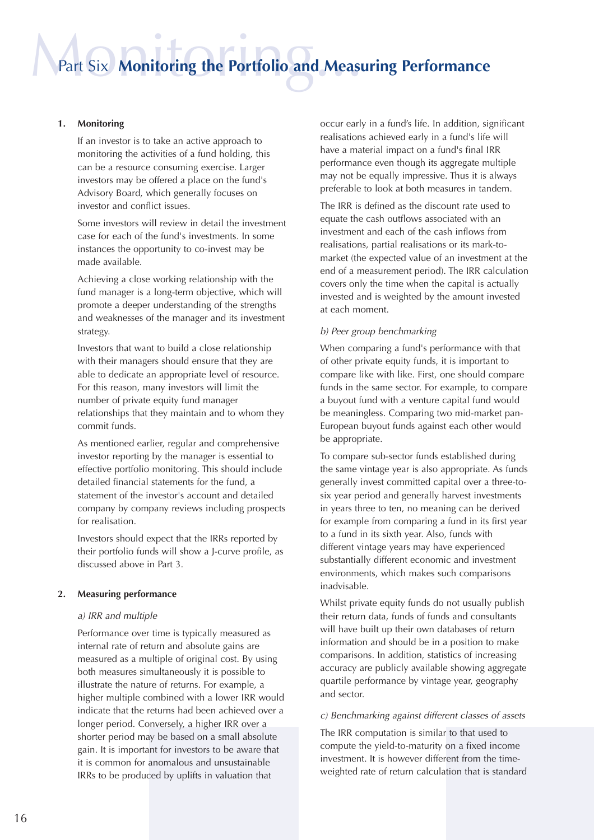### Part Six Monitoring the Portfolio and Measu Part Six **Monitoring the Portfolio and Measuring Performance**

#### **1. Monitoring**

If an investor is to take an active approach to monitoring the activities of a fund holding, this can be a resource consuming exercise. Larger investors may be offered a place on the fund's Advisory Board, which generally focuses on investor and conflict issues.

Some investors will review in detail the investment case for each of the fund's investments. In some instances the opportunity to co-invest may be made available.

Achieving a close working relationship with the fund manager is a long-term objective, which will promote a deeper understanding of the strengths and weaknesses of the manager and its investment strategy.

Investors that want to build a close relationship with their managers should ensure that they are able to dedicate an appropriate level of resource. For this reason, many investors will limit the number of private equity fund manager relationships that they maintain and to whom they commit funds.

As mentioned earlier, regular and comprehensive investor reporting by the manager is essential to effective portfolio monitoring. This should include detailed financial statements for the fund, a statement of the investor's account and detailed company by company reviews including prospects for realisation.

Investors should expect that the IRRs reported by their portfolio funds will show a J-curve profile, as discussed above in Part 3.

#### **2. Measuring performance**

#### a) IRR and multiple

Performance over time is typically measured as internal rate of return and absolute gains are measured as a multiple of original cost. By using both measures simultaneously it is possible to illustrate the nature of returns. For example, a higher multiple combined with a lower IRR would indicate that the returns had been achieved over a longer period. Conversely, a higher IRR over a shorter period may be based on a small absolute gain. It is important for investors to be aware that it is common for anomalous and unsustainable IRRs to be produced by uplifts in valuation that

occur early in a fund's life. In addition, significant realisations achieved early in a fund's life will have a material impact on a fund's final IRR performance even though its aggregate multiple may not be equally impressive. Thus it is always preferable to look at both measures in tandem.

The IRR is defined as the discount rate used to equate the cash outflows associated with an investment and each of the cash inflows from realisations, partial realisations or its mark-tomarket (the expected value of an investment at the end of a measurement period). The IRR calculation covers only the time when the capital is actually invested and is weighted by the amount invested at each moment.

#### b) Peer group benchmarking

When comparing a fund's performance with that of other private equity funds, it is important to compare like with like. First, one should compare funds in the same sector. For example, to compare a buyout fund with a venture capital fund would be meaningless. Comparing two mid-market pan-European buyout funds against each other would be appropriate.

To compare sub-sector funds established during the same vintage year is also appropriate. As funds generally invest committed capital over a three-tosix year period and generally harvest investments in years three to ten, no meaning can be derived for example from comparing a fund in its first year to a fund in its sixth year. Also, funds with different vintage years may have experienced substantially different economic and investment environments, which makes such comparisons inadvisable.

Whilst private equity funds do not usually publish their return data, funds of funds and consultants will have built up their own databases of return information and should be in a position to make comparisons. In addition, statistics of increasing accuracy are publicly available showing aggregate quartile performance by vintage year, geography and sector.

#### c) Benchmarking against different classes of assets

The IRR computation is similar to that used to compute the yield-to-maturity on a fixed income investment. It is however different from the timeweighted rate of return calculation that is standard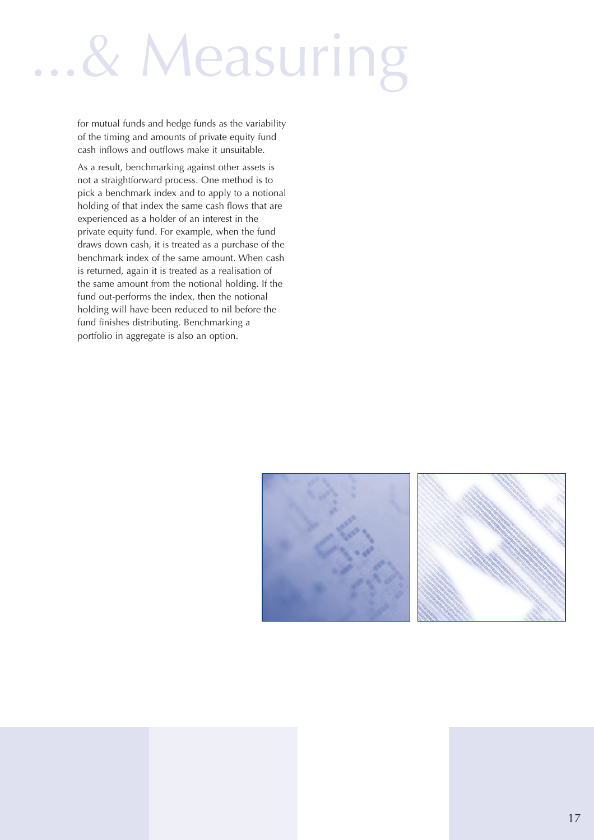### ...& Measuring

for mutual funds and hedge funds as the variability of the timing and amounts of private equity fund cash inflows and outflows make it unsuitable.

As a result, benchmarking against other assets is not a straightforward process. One method is to pick a benchmark index and to apply to a notional holding of that index the same cash flows that are experienced as a holder of an interest in the private equity fund. For example, when the fund draws down cash, it is treated as a purchase of the benchmark index of the same amount. When cash is returned, again it is treated as a realisation of the same amount from the notional holding. If the fund out-performs the index, then the notional holding will have been reduced to nil before the fund finishes distributing. Benchmarking a portfolio in aggregate is also an option.



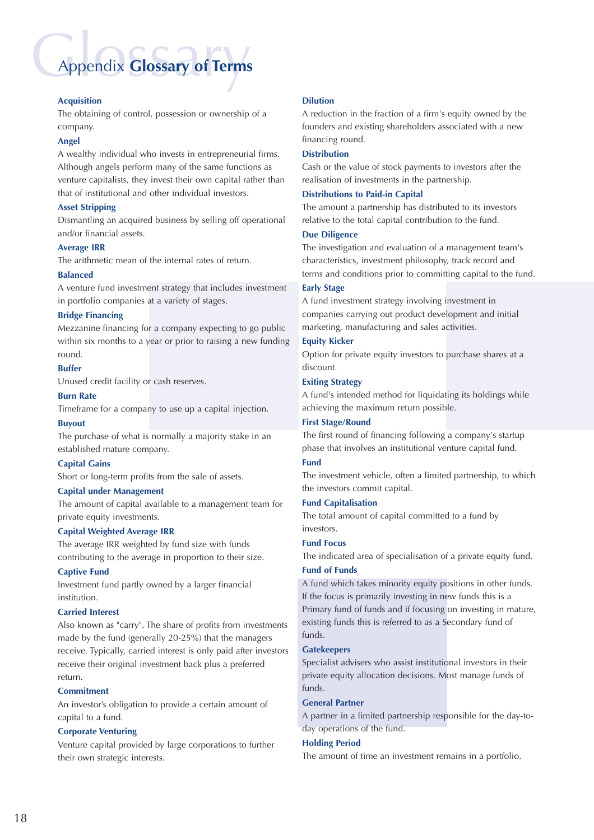### **Appendix Glossary of Terms**

#### **Acquisition**

The obtaining of control, possession or ownership of a company.

#### **Angel**

A wealthy individual who invests in entrepreneurial firms. Although angels perform many of the same functions as venture capitalists, they invest their own capital rather than that of institutional and other individual investors.

#### **Asset Stripping**

Dismantling an acquired business by selling off operational and/or financial assets.

#### **Average IRR**

The arithmetic mean of the internal rates of return.

#### **Balanced**

A venture fund investment strategy that includes investment in portfolio companies at a variety of stages.

#### **Bridge Financing**

Mezzanine financing for a company expecting to go public within six months to a year or prior to raising a new funding round.

#### **Buffer**

Unused credit facility or cash reserves.

#### **Burn Rate**

Timeframe for a company to use up a capital injection.

#### **Buyout**

The purchase of what is normally a majority stake in an established mature company.

#### **Capital Gains**

Short or long-term profits from the sale of assets.

#### **Capital under Management**

The amount of capital available to a management team for private equity investments.

#### **Capital Weighted Average IRR**

The average IRR weighted by fund size with funds contributing to the average in proportion to their size.

#### **Captive Fund**

Investment fund partly owned by a larger financial institution.

#### **Carried Interest**

Also known as "carry". The share of profits from investments made by the fund (generally 20-25%) that the managers receive. Typically, carried interest is only paid after investors receive their original investment back plus a preferred return.

#### **Commitment**

An investor's obligation to provide a certain amount of capital to a fund.

#### **Corporate Venturing**

Venture capital provided by large corporations to further their own strategic interests.

#### **Dilution**

A reduction in the fraction of a firm's equity owned by the founders and existing shareholders associated with a new financing round.

#### **Distribution**

Cash or the value of stock payments to investors after the realisation of investments in the partnership.

#### **Distributions to Paid-in Capital**

The amount a partnership has distributed to its investors relative to the total capital contribution to the fund.

#### **Due Diligence**

The investigation and evaluation of a management team's characteristics, investment philosophy, track record and terms and conditions prior to committing capital to the fund.

#### **Early Stage**

A fund investment strategy involving investment in companies carrying out product development and initial marketing, manufacturing and sales activities.

#### **Equity Kicker**

Option for private equity investors to purchase shares at a discount.

#### **Exiting Strategy**

A fund's intended method for liquidating its holdings while achieving the maximum return possible.

#### **First Stage/Round**

The first round of financing following a company's startup phase that involves an institutional venture capital fund.

#### **Fund**

The investment vehicle, often a limited partnership, to which the investors commit capital.

#### **Fund Capitalisation**

The total amount of capital committed to a fund by investors.

#### **Fund Focus**

The indicated area of specialisation of a private equity fund.

#### **Fund of Funds**

A fund which takes minority equity positions in other funds. If the focus is primarily investing in new funds this is a Primary fund of funds and if focusing on investing in mature, existing funds this is referred to as a Secondary fund of funds.

#### **Gatekeepers**

Specialist advisers who assist institutional investors in their private equity allocation decisions. Most manage funds of funds.

#### **General Partner**

A partner in a limited partnership responsible for the day-today operations of the fund.

#### **Holding Period**

The amount of time an investment remains in a portfolio.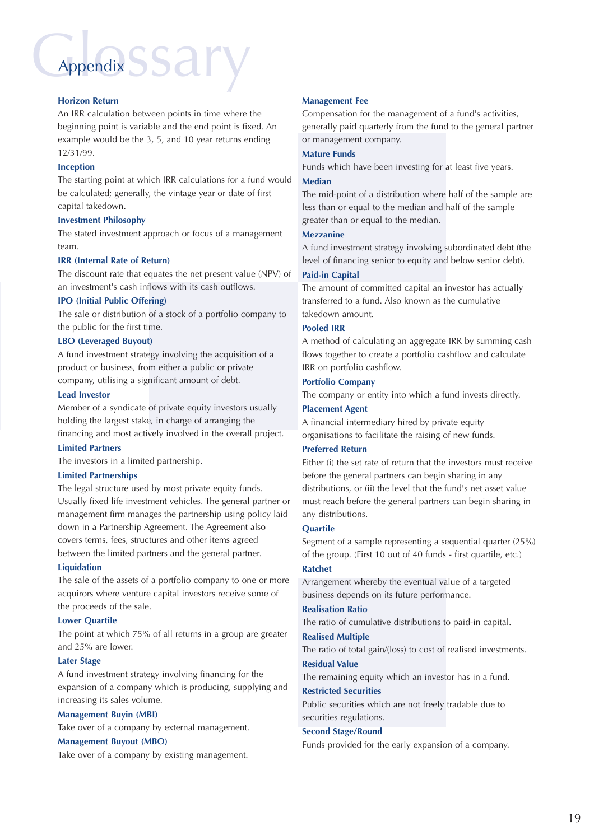### Appendix SSary Appendix

#### **Horizon Return**

An IRR calculation between points in time where the beginning point is variable and the end point is fixed. An example would be the 3, 5, and 10 year returns ending 12/31/99.

#### **Inception**

The starting point at which IRR calculations for a fund would be calculated; generally, the vintage year or date of first capital takedown.

#### **Investment Philosophy**

The stated investment approach or focus of a management team.

#### **IRR (Internal Rate of Return)**

The discount rate that equates the net present value (NPV) of an investment's cash inflows with its cash outflows.

#### **IPO (Initial Public Offering)**

The sale or distribution of a stock of a portfolio company to the public for the first time.

#### **LBO (Leveraged Buyout)**

A fund investment strategy involving the acquisition of a product or business, from either a public or private company, utilising a significant amount of debt.

#### **Lead Investor**

Member of a syndicate of private equity investors usually holding the largest stake, in charge of arranging the financing and most actively involved in the overall project.

#### **Limited Partners**

The investors in a limited partnership.

#### **Limited Partnerships**

The legal structure used by most private equity funds. Usually fixed life investment vehicles. The general partner or management firm manages the partnership using policy laid down in a Partnership Agreement. The Agreement also covers terms, fees, structures and other items agreed between the limited partners and the general partner.

#### **Liquidation**

The sale of the assets of a portfolio company to one or more acquirors where venture capital investors receive some of the proceeds of the sale.

#### **Lower Quartile**

The point at which 75% of all returns in a group are greater and 25% are lower.

#### **Later Stage**

A fund investment strategy involving financing for the expansion of a company which is producing, supplying and increasing its sales volume.

#### **Management Buyin (MBI)**

Take over of a company by external management.

#### **Management Buyout (MBO)**

Take over of a company by existing management.

#### **Management Fee**

Compensation for the management of a fund's activities, generally paid quarterly from the fund to the general partner or management company.

#### **Mature Funds**

Funds which have been investing for at least five years.

#### **Median**

The mid-point of a distribution where half of the sample are less than or equal to the median and half of the sample greater than or equal to the median.

#### **Mezzanine**

A fund investment strategy involving subordinated debt (the level of financing senior to equity and below senior debt).

#### **Paid-in Capital**

The amount of committed capital an investor has actually transferred to a fund. Also known as the cumulative takedown amount.

#### **Pooled IRR**

A method of calculating an aggregate IRR by summing cash flows together to create a portfolio cashflow and calculate IRR on portfolio cashflow.

#### **Portfolio Company**

The company or entity into which a fund invests directly.

#### **Placement Agent**

A financial intermediary hired by private equity

organisations to facilitate the raising of new funds.

#### **Preferred Return**

Either (i) the set rate of return that the investors must receive before the general partners can begin sharing in any distributions, or (ii) the level that the fund's net asset value must reach before the general partners can begin sharing in any distributions.

#### **Quartile**

Segment of a sample representing a sequential quarter (25%) of the group. (First 10 out of 40 funds - first quartile, etc.)

#### **Ratchet**

Arrangement whereby the eventual value of a targeted business depends on its future performance.

#### **Realisation Ratio**

The ratio of cumulative distributions to paid-in capital.

#### **Realised Multiple**

The ratio of total gain/(loss) to cost of realised investments.

#### **Residual Value**

The remaining equity which an investor has in a fund.

#### **Restricted Securities**

Public securities which are not freely tradable due to securities regulations.

#### **Second Stage/Round**

Funds provided for the early expansion of a company.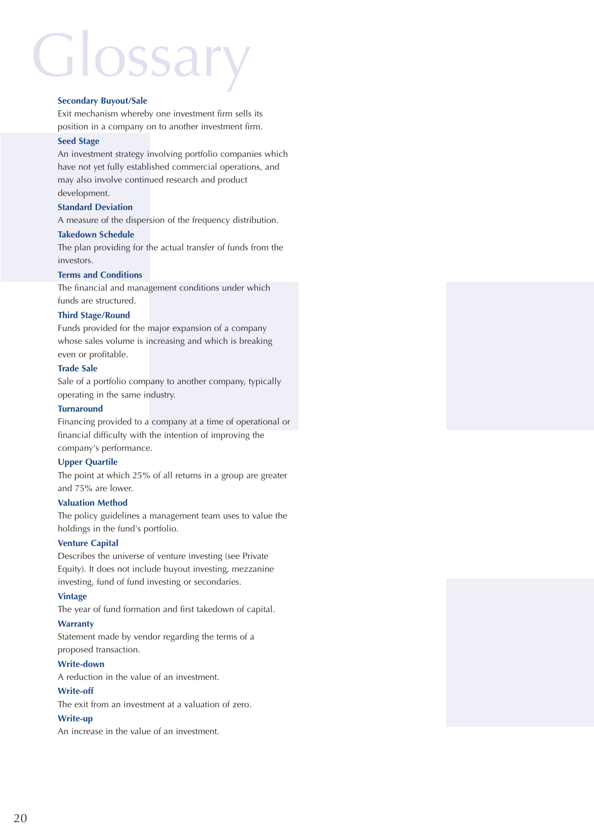## **Glossary**

#### **Secondary Buyout/Sale**

Exit mechanism whereby one investment firm sells its position in a company on to another investment firm.

#### **Seed Stage**

An investment strategy involving portfolio companies which have not yet fully established commercial operations, and may also involve continued research and product development.

#### **Standard Deviation**

A measure of the dispersion of the frequency distribution.

#### **Takedown Schedule**

The plan providing for the actual transfer of funds from the investors.

#### **Terms and Conditions**

The financial and management conditions under which funds are structured.

#### **Third Stage/Round**

Funds provided for the major expansion of a company whose sales volume is increasing and which is breaking even or profitable.

#### **Trade Sale**

Sale of a portfolio company to another company, typically operating in the same industry.

#### **Turnaround**

Financing provided to a company at a time of operational or financial difficulty with the intention of improving the company's performance.

#### **Upper Quartile**

The point at which 25% of all returns in a group are greater and 75% are lower.

#### **Valuation Method**

The policy guidelines a management team uses to value the holdings in the fund's portfolio.

#### **Venture Capital**

Describes the universe of venture investing (see Private Equity). It does not include buyout investing, mezzanine investing, fund of fund investing or secondaries.

#### **Vintage**

The year of fund formation and first takedown of capital.

#### **Warranty**

Statement made by vendor regarding the terms of a proposed transaction.

#### **Write-down**

A reduction in the value of an investment.

#### **Write-off**

The exit from an investment at a valuation of zero.

#### **Write-up**

An increase in the value of an investment.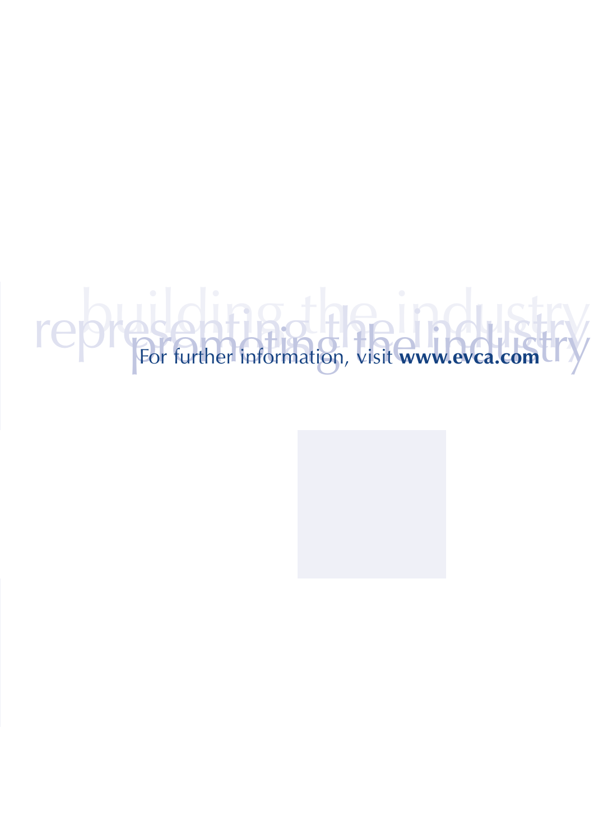# represent the information, visit www.evca.com